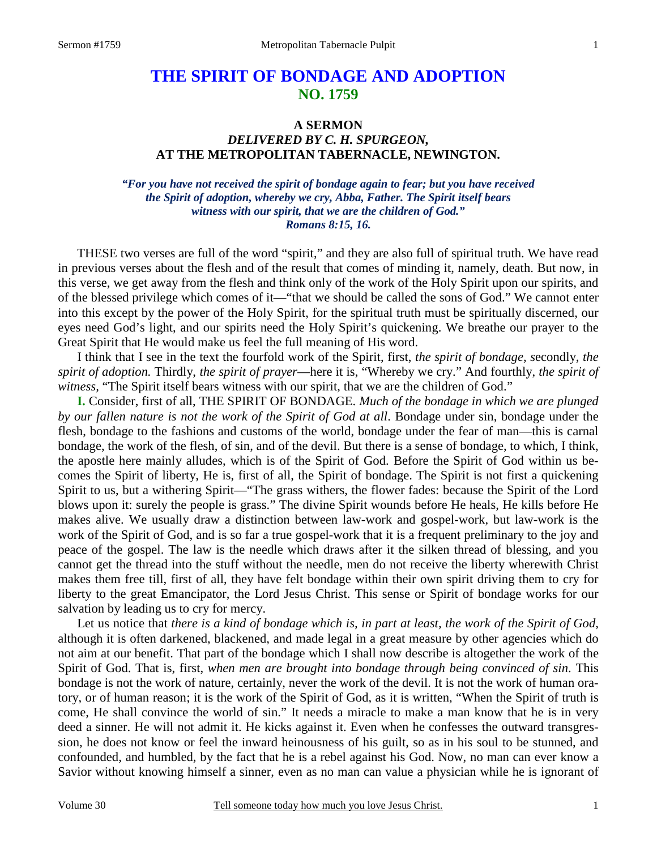# **THE SPIRIT OF BONDAGE AND ADOPTION NO. 1759**

#### **A SERMON**

# *DELIVERED BY C. H. SPURGEON,*  **AT THE METROPOLITAN TABERNACLE, NEWINGTON.**

*"For you have not received the spirit of bondage again to fear; but you have received the Spirit of adoption, whereby we cry, Abba, Father. The Spirit itself bears witness with our spirit, that we are the children of God." Romans 8:15, 16.* 

THESE two verses are full of the word "spirit," and they are also full of spiritual truth. We have read in previous verses about the flesh and of the result that comes of minding it, namely, death. But now, in this verse, we get away from the flesh and think only of the work of the Holy Spirit upon our spirits, and of the blessed privilege which comes of it—"that we should be called the sons of God." We cannot enter into this except by the power of the Holy Spirit, for the spiritual truth must be spiritually discerned, our eyes need God's light, and our spirits need the Holy Spirit's quickening. We breathe our prayer to the Great Spirit that He would make us feel the full meaning of His word.

 I think that I see in the text the fourfold work of the Spirit, first, *the spirit of bondage, s*econdly, *the spirit of adoption.* Thirdly, *the spirit of prayer*—here it is, "Whereby we cry." And fourthly, *the spirit of*  witness, "The Spirit itself bears witness with our spirit, that we are the children of God."

**I.** Consider, first of all, THE SPIRIT OF BONDAGE. *Much of the bondage in which we are plunged by our fallen nature is not the work of the Spirit of God at all*. Bondage under sin, bondage under the flesh, bondage to the fashions and customs of the world, bondage under the fear of man—this is carnal bondage, the work of the flesh, of sin, and of the devil. But there is a sense of bondage, to which, I think, the apostle here mainly alludes, which is of the Spirit of God. Before the Spirit of God within us becomes the Spirit of liberty, He is, first of all, the Spirit of bondage. The Spirit is not first a quickening Spirit to us, but a withering Spirit—"The grass withers, the flower fades: because the Spirit of the Lord blows upon it: surely the people is grass." The divine Spirit wounds before He heals, He kills before He makes alive. We usually draw a distinction between law-work and gospel-work, but law-work is the work of the Spirit of God, and is so far a true gospel-work that it is a frequent preliminary to the joy and peace of the gospel. The law is the needle which draws after it the silken thread of blessing, and you cannot get the thread into the stuff without the needle, men do not receive the liberty wherewith Christ makes them free till, first of all, they have felt bondage within their own spirit driving them to cry for liberty to the great Emancipator, the Lord Jesus Christ. This sense or Spirit of bondage works for our salvation by leading us to cry for mercy.

 Let us notice that *there is a kind of bondage which is, in part at least, the work of the Spirit of God*, although it is often darkened, blackened, and made legal in a great measure by other agencies which do not aim at our benefit. That part of the bondage which I shall now describe is altogether the work of the Spirit of God. That is, first, *when men are brought into bondage through being convinced of sin*. This bondage is not the work of nature, certainly, never the work of the devil. It is not the work of human oratory, or of human reason; it is the work of the Spirit of God, as it is written, "When the Spirit of truth is come, He shall convince the world of sin." It needs a miracle to make a man know that he is in very deed a sinner. He will not admit it. He kicks against it. Even when he confesses the outward transgression, he does not know or feel the inward heinousness of his guilt, so as in his soul to be stunned, and confounded, and humbled, by the fact that he is a rebel against his God. Now, no man can ever know a Savior without knowing himself a sinner, even as no man can value a physician while he is ignorant of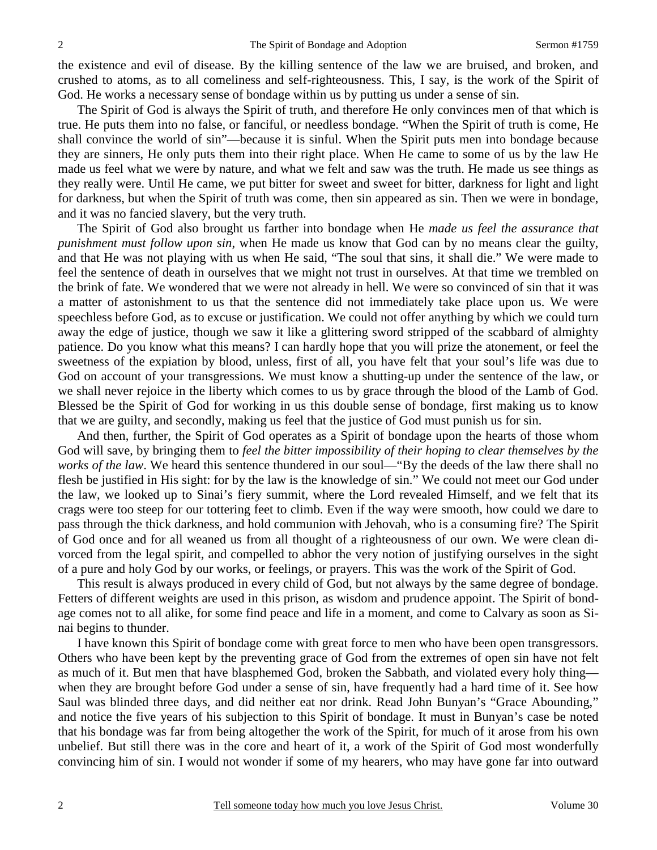the existence and evil of disease. By the killing sentence of the law we are bruised, and broken, and crushed to atoms, as to all comeliness and self-righteousness. This, I say, is the work of the Spirit of God. He works a necessary sense of bondage within us by putting us under a sense of sin.

 The Spirit of God is always the Spirit of truth, and therefore He only convinces men of that which is true. He puts them into no false, or fanciful, or needless bondage. "When the Spirit of truth is come, He shall convince the world of sin"—because it is sinful. When the Spirit puts men into bondage because they are sinners, He only puts them into their right place. When He came to some of us by the law He made us feel what we were by nature, and what we felt and saw was the truth. He made us see things as they really were. Until He came, we put bitter for sweet and sweet for bitter, darkness for light and light for darkness, but when the Spirit of truth was come, then sin appeared as sin. Then we were in bondage, and it was no fancied slavery, but the very truth.

 The Spirit of God also brought us farther into bondage when He *made us feel the assurance that punishment must follow upon sin*, when He made us know that God can by no means clear the guilty, and that He was not playing with us when He said, "The soul that sins, it shall die." We were made to feel the sentence of death in ourselves that we might not trust in ourselves. At that time we trembled on the brink of fate. We wondered that we were not already in hell. We were so convinced of sin that it was a matter of astonishment to us that the sentence did not immediately take place upon us. We were speechless before God, as to excuse or justification. We could not offer anything by which we could turn away the edge of justice, though we saw it like a glittering sword stripped of the scabbard of almighty patience. Do you know what this means? I can hardly hope that you will prize the atonement, or feel the sweetness of the expiation by blood, unless, first of all, you have felt that your soul's life was due to God on account of your transgressions. We must know a shutting-up under the sentence of the law, or we shall never rejoice in the liberty which comes to us by grace through the blood of the Lamb of God. Blessed be the Spirit of God for working in us this double sense of bondage, first making us to know that we are guilty, and secondly, making us feel that the justice of God must punish us for sin.

 And then, further, the Spirit of God operates as a Spirit of bondage upon the hearts of those whom God will save, by bringing them to *feel the bitter impossibility of their hoping to clear themselves by the works of the law*. We heard this sentence thundered in our soul—"By the deeds of the law there shall no flesh be justified in His sight: for by the law is the knowledge of sin." We could not meet our God under the law, we looked up to Sinai's fiery summit, where the Lord revealed Himself, and we felt that its crags were too steep for our tottering feet to climb. Even if the way were smooth, how could we dare to pass through the thick darkness, and hold communion with Jehovah, who is a consuming fire? The Spirit of God once and for all weaned us from all thought of a righteousness of our own. We were clean divorced from the legal spirit, and compelled to abhor the very notion of justifying ourselves in the sight of a pure and holy God by our works, or feelings, or prayers. This was the work of the Spirit of God.

 This result is always produced in every child of God, but not always by the same degree of bondage. Fetters of different weights are used in this prison, as wisdom and prudence appoint. The Spirit of bondage comes not to all alike, for some find peace and life in a moment, and come to Calvary as soon as Sinai begins to thunder.

 I have known this Spirit of bondage come with great force to men who have been open transgressors. Others who have been kept by the preventing grace of God from the extremes of open sin have not felt as much of it. But men that have blasphemed God, broken the Sabbath, and violated every holy thing when they are brought before God under a sense of sin, have frequently had a hard time of it. See how Saul was blinded three days, and did neither eat nor drink. Read John Bunyan's "Grace Abounding," and notice the five years of his subjection to this Spirit of bondage. It must in Bunyan's case be noted that his bondage was far from being altogether the work of the Spirit, for much of it arose from his own unbelief. But still there was in the core and heart of it, a work of the Spirit of God most wonderfully convincing him of sin. I would not wonder if some of my hearers, who may have gone far into outward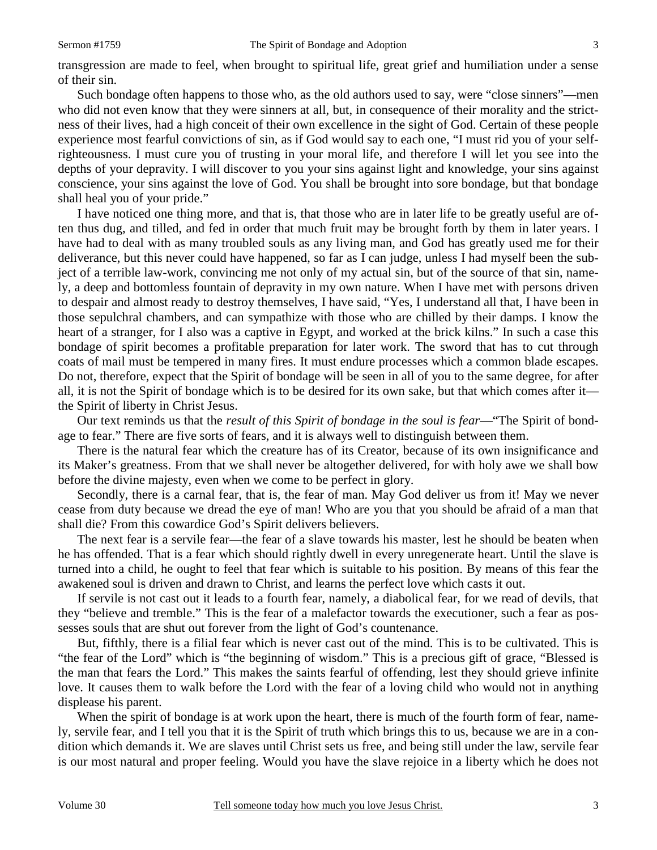transgression are made to feel, when brought to spiritual life, great grief and humiliation under a sense of their sin.

 Such bondage often happens to those who, as the old authors used to say, were "close sinners"—men who did not even know that they were sinners at all, but, in consequence of their morality and the strictness of their lives, had a high conceit of their own excellence in the sight of God. Certain of these people experience most fearful convictions of sin, as if God would say to each one, "I must rid you of your selfrighteousness. I must cure you of trusting in your moral life, and therefore I will let you see into the depths of your depravity. I will discover to you your sins against light and knowledge, your sins against conscience, your sins against the love of God. You shall be brought into sore bondage, but that bondage shall heal you of your pride."

 I have noticed one thing more, and that is, that those who are in later life to be greatly useful are often thus dug, and tilled, and fed in order that much fruit may be brought forth by them in later years. I have had to deal with as many troubled souls as any living man, and God has greatly used me for their deliverance, but this never could have happened, so far as I can judge, unless I had myself been the subject of a terrible law-work, convincing me not only of my actual sin, but of the source of that sin, namely, a deep and bottomless fountain of depravity in my own nature. When I have met with persons driven to despair and almost ready to destroy themselves, I have said, "Yes, I understand all that, I have been in those sepulchral chambers, and can sympathize with those who are chilled by their damps. I know the heart of a stranger, for I also was a captive in Egypt, and worked at the brick kilns." In such a case this bondage of spirit becomes a profitable preparation for later work. The sword that has to cut through coats of mail must be tempered in many fires. It must endure processes which a common blade escapes. Do not, therefore, expect that the Spirit of bondage will be seen in all of you to the same degree, for after all, it is not the Spirit of bondage which is to be desired for its own sake, but that which comes after it the Spirit of liberty in Christ Jesus.

 Our text reminds us that the *result of this Spirit of bondage in the soul is fear*—"The Spirit of bondage to fear." There are five sorts of fears, and it is always well to distinguish between them.

 There is the natural fear which the creature has of its Creator, because of its own insignificance and its Maker's greatness. From that we shall never be altogether delivered, for with holy awe we shall bow before the divine majesty, even when we come to be perfect in glory.

 Secondly, there is a carnal fear, that is, the fear of man. May God deliver us from it! May we never cease from duty because we dread the eye of man! Who are you that you should be afraid of a man that shall die? From this cowardice God's Spirit delivers believers.

 The next fear is a servile fear—the fear of a slave towards his master, lest he should be beaten when he has offended. That is a fear which should rightly dwell in every unregenerate heart. Until the slave is turned into a child, he ought to feel that fear which is suitable to his position. By means of this fear the awakened soul is driven and drawn to Christ, and learns the perfect love which casts it out.

 If servile is not cast out it leads to a fourth fear, namely, a diabolical fear, for we read of devils, that they "believe and tremble." This is the fear of a malefactor towards the executioner, such a fear as possesses souls that are shut out forever from the light of God's countenance.

 But, fifthly, there is a filial fear which is never cast out of the mind. This is to be cultivated. This is "the fear of the Lord" which is "the beginning of wisdom." This is a precious gift of grace, "Blessed is the man that fears the Lord." This makes the saints fearful of offending, lest they should grieve infinite love. It causes them to walk before the Lord with the fear of a loving child who would not in anything displease his parent.

When the spirit of bondage is at work upon the heart, there is much of the fourth form of fear, namely, servile fear, and I tell you that it is the Spirit of truth which brings this to us, because we are in a condition which demands it. We are slaves until Christ sets us free, and being still under the law, servile fear is our most natural and proper feeling. Would you have the slave rejoice in a liberty which he does not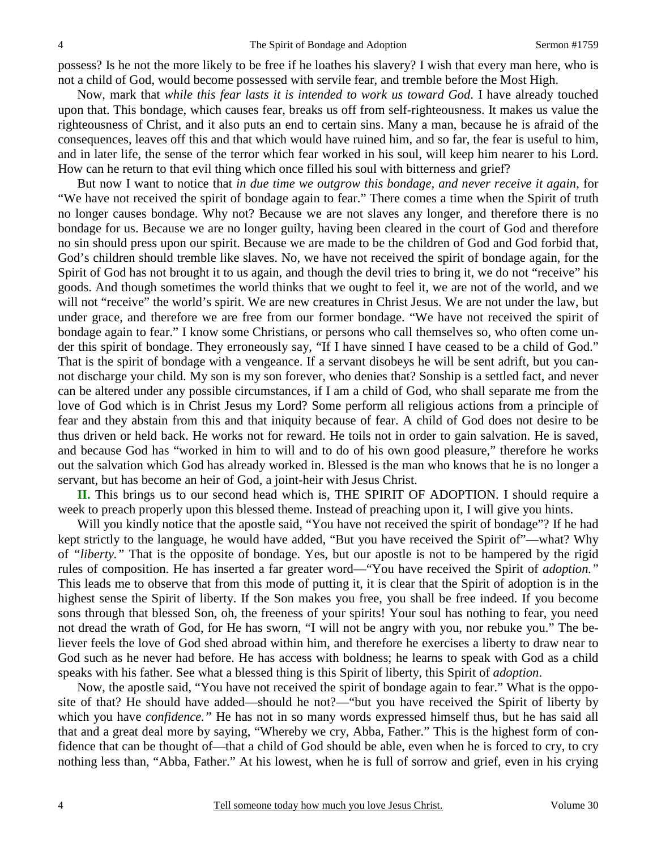possess? Is he not the more likely to be free if he loathes his slavery? I wish that every man here, who is not a child of God, would become possessed with servile fear, and tremble before the Most High.

 Now, mark that *while this fear lasts it is intended to work us toward God*. I have already touched upon that. This bondage, which causes fear, breaks us off from self-righteousness. It makes us value the righteousness of Christ, and it also puts an end to certain sins. Many a man, because he is afraid of the consequences, leaves off this and that which would have ruined him, and so far, the fear is useful to him, and in later life, the sense of the terror which fear worked in his soul, will keep him nearer to his Lord. How can he return to that evil thing which once filled his soul with bitterness and grief?

 But now I want to notice that *in due time we outgrow this bondage, and never receive it again*, for "We have not received the spirit of bondage again to fear." There comes a time when the Spirit of truth no longer causes bondage. Why not? Because we are not slaves any longer, and therefore there is no bondage for us. Because we are no longer guilty, having been cleared in the court of God and therefore no sin should press upon our spirit. Because we are made to be the children of God and God forbid that, God's children should tremble like slaves. No, we have not received the spirit of bondage again, for the Spirit of God has not brought it to us again, and though the devil tries to bring it, we do not "receive" his goods. And though sometimes the world thinks that we ought to feel it, we are not of the world, and we will not "receive" the world's spirit. We are new creatures in Christ Jesus. We are not under the law, but under grace, and therefore we are free from our former bondage. "We have not received the spirit of bondage again to fear." I know some Christians, or persons who call themselves so, who often come under this spirit of bondage. They erroneously say, "If I have sinned I have ceased to be a child of God." That is the spirit of bondage with a vengeance. If a servant disobeys he will be sent adrift, but you cannot discharge your child. My son is my son forever, who denies that? Sonship is a settled fact, and never can be altered under any possible circumstances, if I am a child of God, who shall separate me from the love of God which is in Christ Jesus my Lord? Some perform all religious actions from a principle of fear and they abstain from this and that iniquity because of fear. A child of God does not desire to be thus driven or held back. He works not for reward. He toils not in order to gain salvation. He is saved, and because God has "worked in him to will and to do of his own good pleasure," therefore he works out the salvation which God has already worked in. Blessed is the man who knows that he is no longer a servant, but has become an heir of God, a joint-heir with Jesus Christ.

**II.** This brings us to our second head which is, THE SPIRIT OF ADOPTION. I should require a week to preach properly upon this blessed theme. Instead of preaching upon it, I will give you hints.

 Will you kindly notice that the apostle said, "You have not received the spirit of bondage"? If he had kept strictly to the language, he would have added, "But you have received the Spirit of"—what? Why of *"liberty."* That is the opposite of bondage. Yes, but our apostle is not to be hampered by the rigid rules of composition. He has inserted a far greater word—"You have received the Spirit of *adoption."* This leads me to observe that from this mode of putting it, it is clear that the Spirit of adoption is in the highest sense the Spirit of liberty. If the Son makes you free, you shall be free indeed. If you become sons through that blessed Son, oh, the freeness of your spirits! Your soul has nothing to fear, you need not dread the wrath of God, for He has sworn, "I will not be angry with you, nor rebuke you." The believer feels the love of God shed abroad within him, and therefore he exercises a liberty to draw near to God such as he never had before. He has access with boldness; he learns to speak with God as a child speaks with his father. See what a blessed thing is this Spirit of liberty, this Spirit of *adoption*.

 Now, the apostle said, "You have not received the spirit of bondage again to fear." What is the opposite of that? He should have added—should he not?—"but you have received the Spirit of liberty by which you have *confidence."* He has not in so many words expressed himself thus, but he has said all that and a great deal more by saying, "Whereby we cry, Abba, Father." This is the highest form of confidence that can be thought of—that a child of God should be able, even when he is forced to cry, to cry nothing less than, "Abba, Father." At his lowest, when he is full of sorrow and grief, even in his crying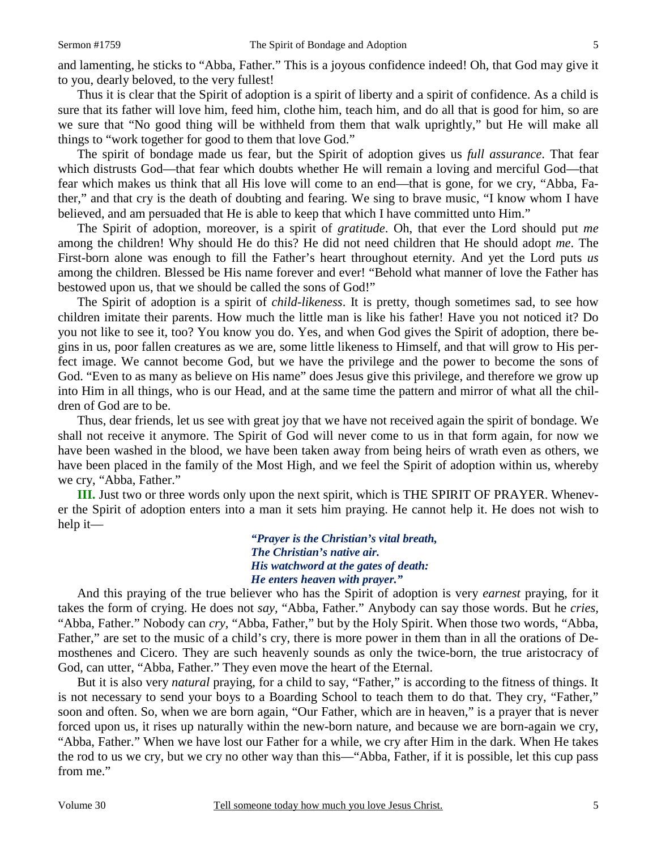and lamenting, he sticks to "Abba, Father." This is a joyous confidence indeed! Oh, that God may give it to you, dearly beloved, to the very fullest!

 Thus it is clear that the Spirit of adoption is a spirit of liberty and a spirit of confidence. As a child is sure that its father will love him, feed him, clothe him, teach him, and do all that is good for him, so are we sure that "No good thing will be withheld from them that walk uprightly," but He will make all things to "work together for good to them that love God."

 The spirit of bondage made us fear, but the Spirit of adoption gives us *full assurance*. That fear which distrusts God—that fear which doubts whether He will remain a loving and merciful God—that fear which makes us think that all His love will come to an end—that is gone, for we cry, "Abba, Father," and that cry is the death of doubting and fearing. We sing to brave music, "I know whom I have believed, and am persuaded that He is able to keep that which I have committed unto Him."

 The Spirit of adoption, moreover, is a spirit of *gratitude*. Oh, that ever the Lord should put *me* among the children! Why should He do this? He did not need children that He should adopt *me*. The First-born alone was enough to fill the Father's heart throughout eternity. And yet the Lord puts *us* among the children. Blessed be His name forever and ever! "Behold what manner of love the Father has bestowed upon us, that we should be called the sons of God!"

 The Spirit of adoption is a spirit of *child-likeness*. It is pretty, though sometimes sad, to see how children imitate their parents. How much the little man is like his father! Have you not noticed it? Do you not like to see it, too? You know you do. Yes, and when God gives the Spirit of adoption, there begins in us, poor fallen creatures as we are, some little likeness to Himself, and that will grow to His perfect image. We cannot become God, but we have the privilege and the power to become the sons of God. "Even to as many as believe on His name" does Jesus give this privilege, and therefore we grow up into Him in all things, who is our Head, and at the same time the pattern and mirror of what all the children of God are to be.

 Thus, dear friends, let us see with great joy that we have not received again the spirit of bondage. We shall not receive it anymore. The Spirit of God will never come to us in that form again, for now we have been washed in the blood, we have been taken away from being heirs of wrath even as others, we have been placed in the family of the Most High, and we feel the Spirit of adoption within us, whereby we cry, "Abba, Father."

**III.** Just two or three words only upon the next spirit, which is THE SPIRIT OF PRAYER. Whenever the Spirit of adoption enters into a man it sets him praying. He cannot help it. He does not wish to help it—

> *"Prayer is the Christian's vital breath, The Christian's native air. His watchword at the gates of death: He enters heaven with prayer."*

 And this praying of the true believer who has the Spirit of adoption is very *earnest* praying, for it takes the form of crying. He does not *say,* "Abba, Father." Anybody can say those words. But he *cries,* "Abba, Father." Nobody can *cry,* "Abba, Father," but by the Holy Spirit. When those two words, "Abba, Father," are set to the music of a child's cry, there is more power in them than in all the orations of Demosthenes and Cicero. They are such heavenly sounds as only the twice-born, the true aristocracy of God, can utter, "Abba, Father." They even move the heart of the Eternal.

 But it is also very *natural* praying, for a child to say, "Father," is according to the fitness of things. It is not necessary to send your boys to a Boarding School to teach them to do that. They cry, "Father," soon and often. So, when we are born again, "Our Father, which are in heaven," is a prayer that is never forced upon us, it rises up naturally within the new-born nature, and because we are born-again we cry, "Abba, Father." When we have lost our Father for a while, we cry after Him in the dark. When He takes the rod to us we cry, but we cry no other way than this—"Abba, Father, if it is possible, let this cup pass from me."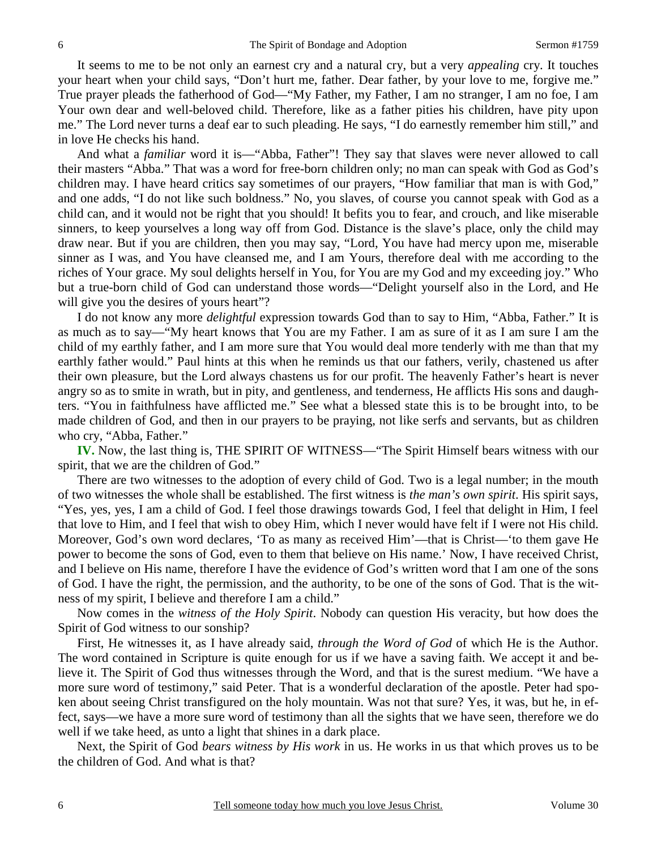It seems to me to be not only an earnest cry and a natural cry, but a very *appealing* cry. It touches your heart when your child says, "Don't hurt me, father. Dear father, by your love to me, forgive me." True prayer pleads the fatherhood of God—"My Father, my Father, I am no stranger, I am no foe, I am Your own dear and well-beloved child. Therefore, like as a father pities his children, have pity upon me." The Lord never turns a deaf ear to such pleading. He says, "I do earnestly remember him still," and in love He checks his hand.

 And what a *familiar* word it is—"Abba, Father"! They say that slaves were never allowed to call their masters "Abba." That was a word for free-born children only; no man can speak with God as God's children may. I have heard critics say sometimes of our prayers, "How familiar that man is with God," and one adds, "I do not like such boldness." No, you slaves, of course you cannot speak with God as a child can, and it would not be right that you should! It befits you to fear, and crouch, and like miserable sinners, to keep yourselves a long way off from God. Distance is the slave's place, only the child may draw near. But if you are children, then you may say, "Lord, You have had mercy upon me, miserable sinner as I was, and You have cleansed me, and I am Yours, therefore deal with me according to the riches of Your grace. My soul delights herself in You, for You are my God and my exceeding joy." Who but a true-born child of God can understand those words—"Delight yourself also in the Lord, and He will give you the desires of yours heart"?

 I do not know any more *delightful* expression towards God than to say to Him, "Abba, Father." It is as much as to say—"My heart knows that You are my Father. I am as sure of it as I am sure I am the child of my earthly father, and I am more sure that You would deal more tenderly with me than that my earthly father would." Paul hints at this when he reminds us that our fathers, verily, chastened us after their own pleasure, but the Lord always chastens us for our profit. The heavenly Father's heart is never angry so as to smite in wrath, but in pity, and gentleness, and tenderness, He afflicts His sons and daughters. "You in faithfulness have afflicted me." See what a blessed state this is to be brought into, to be made children of God, and then in our prayers to be praying, not like serfs and servants, but as children who cry, "Abba, Father."

**IV.** Now, the last thing is, THE SPIRIT OF WITNESS—"The Spirit Himself bears witness with our spirit, that we are the children of God."

 There are two witnesses to the adoption of every child of God. Two is a legal number; in the mouth of two witnesses the whole shall be established. The first witness is *the man's own spirit*. His spirit says, "Yes, yes, yes, I am a child of God. I feel those drawings towards God, I feel that delight in Him, I feel that love to Him, and I feel that wish to obey Him, which I never would have felt if I were not His child. Moreover, God's own word declares, 'To as many as received Him'—that is Christ—'to them gave He power to become the sons of God, even to them that believe on His name.' Now, I have received Christ, and I believe on His name, therefore I have the evidence of God's written word that I am one of the sons of God. I have the right, the permission, and the authority, to be one of the sons of God. That is the witness of my spirit, I believe and therefore I am a child."

 Now comes in the *witness of the Holy Spirit*. Nobody can question His veracity, but how does the Spirit of God witness to our sonship?

 First, He witnesses it, as I have already said, *through the Word of God* of which He is the Author. The word contained in Scripture is quite enough for us if we have a saving faith. We accept it and believe it. The Spirit of God thus witnesses through the Word, and that is the surest medium. "We have a more sure word of testimony," said Peter. That is a wonderful declaration of the apostle. Peter had spoken about seeing Christ transfigured on the holy mountain. Was not that sure? Yes, it was, but he, in effect, says—we have a more sure word of testimony than all the sights that we have seen, therefore we do well if we take heed, as unto a light that shines in a dark place.

 Next, the Spirit of God *bears witness by His work* in us. He works in us that which proves us to be the children of God. And what is that?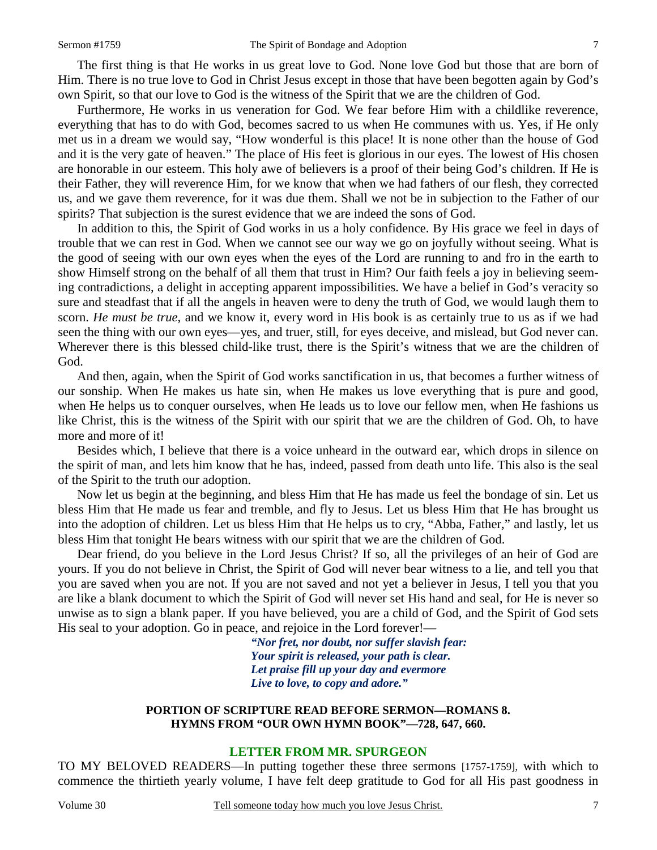The first thing is that He works in us great love to God. None love God but those that are born of Him. There is no true love to God in Christ Jesus except in those that have been begotten again by God's own Spirit, so that our love to God is the witness of the Spirit that we are the children of God.

 Furthermore, He works in us veneration for God. We fear before Him with a childlike reverence, everything that has to do with God, becomes sacred to us when He communes with us. Yes, if He only met us in a dream we would say, "How wonderful is this place! It is none other than the house of God and it is the very gate of heaven." The place of His feet is glorious in our eyes. The lowest of His chosen are honorable in our esteem. This holy awe of believers is a proof of their being God's children. If He is their Father, they will reverence Him, for we know that when we had fathers of our flesh, they corrected us, and we gave them reverence, for it was due them. Shall we not be in subjection to the Father of our spirits? That subjection is the surest evidence that we are indeed the sons of God.

 In addition to this, the Spirit of God works in us a holy confidence. By His grace we feel in days of trouble that we can rest in God. When we cannot see our way we go on joyfully without seeing. What is the good of seeing with our own eyes when the eyes of the Lord are running to and fro in the earth to show Himself strong on the behalf of all them that trust in Him? Our faith feels a joy in believing seeming contradictions, a delight in accepting apparent impossibilities. We have a belief in God's veracity so sure and steadfast that if all the angels in heaven were to deny the truth of God, we would laugh them to scorn. *He must be true,* and we know it, every word in His book is as certainly true to us as if we had seen the thing with our own eyes—yes, and truer, still, for eyes deceive, and mislead, but God never can. Wherever there is this blessed child-like trust, there is the Spirit's witness that we are the children of God.

 And then, again, when the Spirit of God works sanctification in us, that becomes a further witness of our sonship. When He makes us hate sin, when He makes us love everything that is pure and good, when He helps us to conquer ourselves, when He leads us to love our fellow men, when He fashions us like Christ, this is the witness of the Spirit with our spirit that we are the children of God. Oh, to have more and more of it!

 Besides which, I believe that there is a voice unheard in the outward ear, which drops in silence on the spirit of man, and lets him know that he has, indeed, passed from death unto life. This also is the seal of the Spirit to the truth our adoption.

 Now let us begin at the beginning, and bless Him that He has made us feel the bondage of sin. Let us bless Him that He made us fear and tremble, and fly to Jesus. Let us bless Him that He has brought us into the adoption of children. Let us bless Him that He helps us to cry, "Abba, Father," and lastly, let us bless Him that tonight He bears witness with our spirit that we are the children of God.

 Dear friend, do you believe in the Lord Jesus Christ? If so, all the privileges of an heir of God are yours. If you do not believe in Christ, the Spirit of God will never bear witness to a lie, and tell you that you are saved when you are not. If you are not saved and not yet a believer in Jesus, I tell you that you are like a blank document to which the Spirit of God will never set His hand and seal, for He is never so unwise as to sign a blank paper. If you have believed, you are a child of God, and the Spirit of God sets His seal to your adoption. Go in peace, and rejoice in the Lord forever!—

> *"Nor fret, nor doubt, nor suffer slavish fear: Your spirit is released, your path is clear. Let praise fill up your day and evermore Live to love, to copy and adore."*

#### **PORTION OF SCRIPTURE READ BEFORE SERMON—ROMANS 8. HYMNS FROM "OUR OWN HYMN BOOK"—728, 647, 660.**

## **LETTER FROM MR. SPURGEON**

TO MY BELOVED READERS—In putting together these three sermons [1757-1759], with which to commence the thirtieth yearly volume, I have felt deep gratitude to God for all His past goodness in